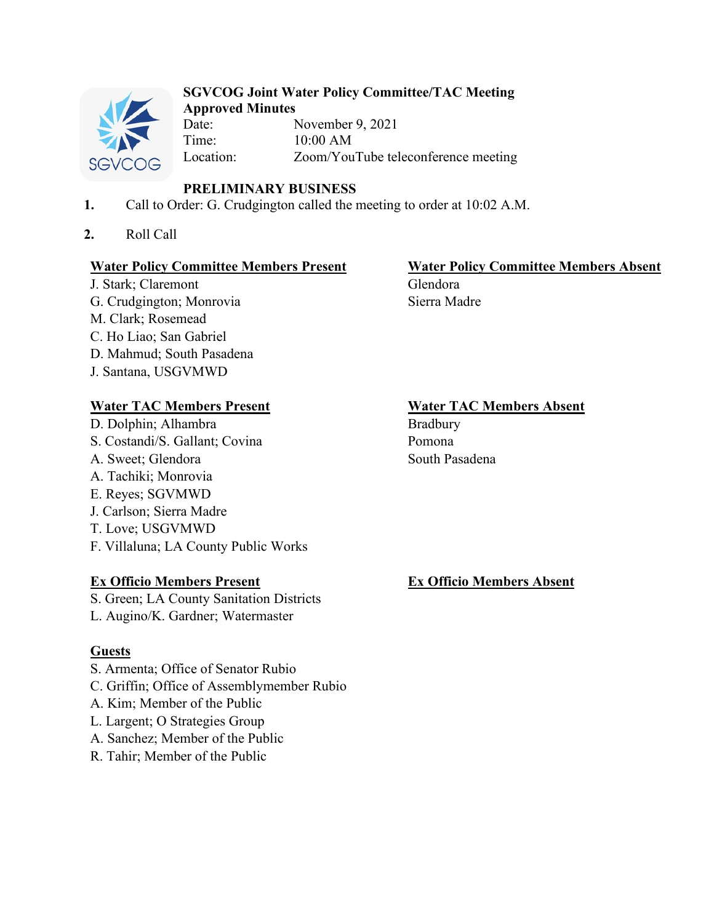

#### **SGVCOG Joint Water Policy Committee/TAC Meeting Approved Minutes**

Date: November 9, 2021 Time: 10:00 AM<br>Location: Zoom/You Zoom/YouTube teleconference meeting

# **PRELIMINARY BUSINESS**

- **1.** Call to Order: G. Crudgington called the meeting to order at 10:02 A.M.
- **2.** Roll Call

## **Water Policy Committee Members Present Water Policy Committee Members Absent**

J. Stark; Claremont Glendora G. Crudgington; Monrovia Sierra Madre M. Clark; Rosemead C. Ho Liao; San Gabriel D. Mahmud; South Pasadena J. Santana, USGVMWD

# Water TAC Members Present **Water TAC Members Absent**

D. Dolphin; Alhambra Bradbury S. Costandi/S. Gallant; Covina Pomona A. Sweet: Glendora South Pasadena A. Tachiki; Monrovia E. Reyes; SGVMWD J. Carlson; Sierra Madre T. Love; USGVMWD F. Villaluna; LA County Public Works

# **Ex Officio Members Present Ex Officio Members Absent**

S. Green; LA County Sanitation Districts

L. Augino/K. Gardner; Watermaster

# **Guests**

- S. Armenta; Office of Senator Rubio
- C. Griffin; Office of Assemblymember Rubio
- A. Kim; Member of the Public
- L. Largent; O Strategies Group
- A. Sanchez; Member of the Public
- R. Tahir; Member of the Public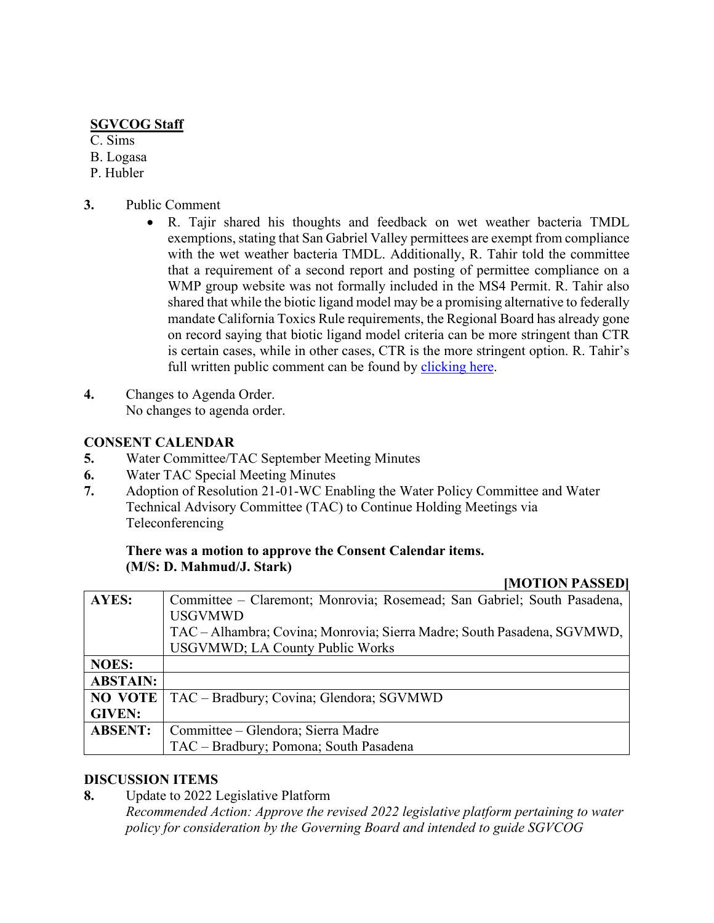## **SGVCOG Staff**

C. Sims

- B. Logasa
- P. Hubler
- **3.** Public Comment
	- R. Tajir shared his thoughts and feedback on wet weather bacteria TMDL exemptions, stating that San Gabriel Valley permittees are exempt from compliance with the wet weather bacteria TMDL. Additionally, R. Tahir told the committee that a requirement of a second report and posting of permittee compliance on a WMP group website was not formally included in the MS4 Permit. R. Tahir also shared that while the biotic ligand model may be a promising alternative to federally mandate California Toxics Rule requirements, the Regional Board has already gone on record saying that biotic ligand model criteria can be more stringent than CTR is certain cases, while in other cases, CTR is the more stringent option. R. Tahir's full written public comment can be found by [clicking here.](https://drive.google.com/file/d/1Cfxkam2LcgmYe8lLxwmY2j9u20A9gFpo/view?usp=sharing)
- **4.** Changes to Agenda Order. No changes to agenda order.

## **CONSENT CALENDAR**

- **5.** Water Committee/TAC September Meeting Minutes
- **6.** Water TAC Special Meeting Minutes
- **7.** Adoption of Resolution 21-01-WC Enabling the Water Policy Committee and Water Technical Advisory Committee (TAC) to Continue Holding Meetings via Teleconferencing

#### **There was a motion to approve the Consent Calendar items. (M/S: D. Mahmud/J. Stark)**

|                 | <b>INIO LIUN LADDED</b>                                                 |
|-----------------|-------------------------------------------------------------------------|
| <b>AYES:</b>    | Committee – Claremont; Monrovia; Rosemead; San Gabriel; South Pasadena, |
|                 | <b>USGVMWD</b>                                                          |
|                 | TAC – Alhambra; Covina; Monrovia; Sierra Madre; South Pasadena, SGVMWD, |
|                 | <b>USGVMWD</b> ; LA County Public Works                                 |
| <b>NOES:</b>    |                                                                         |
| <b>ABSTAIN:</b> |                                                                         |
| <b>NO VOTE</b>  | TAC – Bradbury; Covina; Glendora; SGVMWD                                |
| <b>GIVEN:</b>   |                                                                         |
| <b>ABSENT:</b>  | Committee – Glendora; Sierra Madre                                      |
|                 | TAC - Bradbury; Pomona; South Pasadena                                  |

**[MOTION PASSED]**

### **DISCUSSION ITEMS**

**8.** Update to 2022 Legislative Platform

*Recommended Action: Approve the revised 2022 legislative platform pertaining to water policy for consideration by the Governing Board and intended to guide SGVCOG*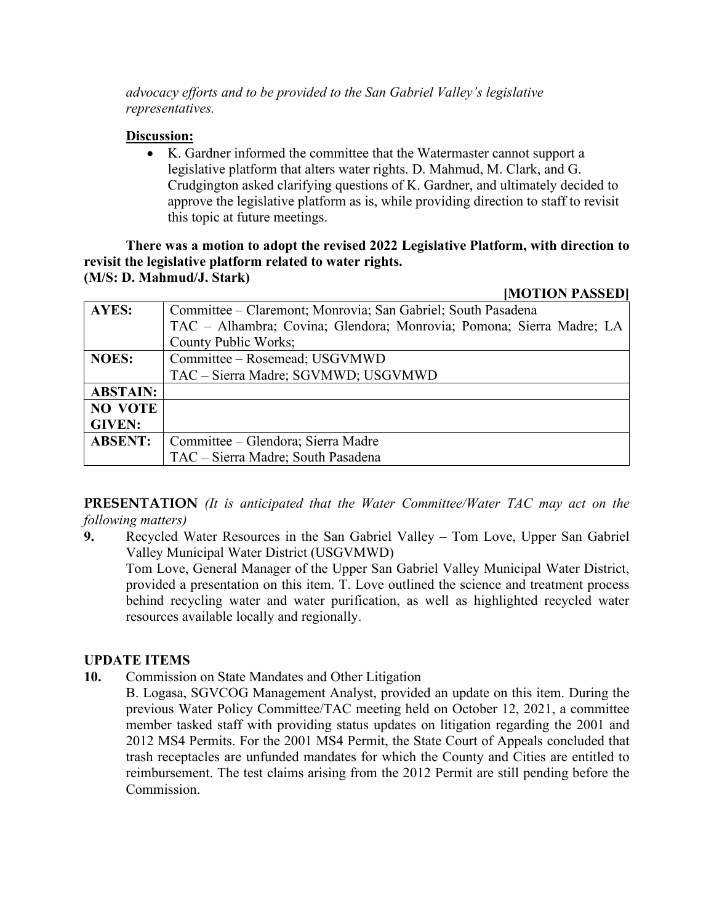*advocacy efforts and to be provided to the San Gabriel Valley's legislative representatives.*

#### **Discussion:**

• K. Gardner informed the committee that the Watermaster cannot support a legislative platform that alters water rights. D. Mahmud, M. Clark, and G. Crudgington asked clarifying questions of K. Gardner, and ultimately decided to approve the legislative platform as is, while providing direction to staff to revisit this topic at future meetings.

**There was a motion to adopt the revised 2022 Legislative Platform, with direction to revisit the legislative platform related to water rights. (M/S: D. Mahmud/J. Stark)**

**[MOTION PASSED]**

| AYES:           | Committee – Claremont; Monrovia; San Gabriel; South Pasadena         |
|-----------------|----------------------------------------------------------------------|
|                 | TAC - Alhambra; Covina; Glendora; Monrovia; Pomona; Sierra Madre; LA |
|                 | County Public Works;                                                 |
| <b>NOES:</b>    | Committee - Rosemead; USGVMWD                                        |
|                 | TAC - Sierra Madre; SGVMWD; USGVMWD                                  |
| <b>ABSTAIN:</b> |                                                                      |
| <b>NO VOTE</b>  |                                                                      |
| <b>GIVEN:</b>   |                                                                      |
| <b>ABSENT:</b>  | Committee – Glendora; Sierra Madre                                   |
|                 | TAC - Sierra Madre; South Pasadena                                   |

**PRESENTATION** *(It is anticipated that the Water Committee/Water TAC may act on the following matters)*

**9.** Recycled Water Resources in the San Gabriel Valley – Tom Love, Upper San Gabriel Valley Municipal Water District (USGVMWD)

Tom Love, General Manager of the Upper San Gabriel Valley Municipal Water District, provided a presentation on this item. T. Love outlined the science and treatment process behind recycling water and water purification, as well as highlighted recycled water resources available locally and regionally.

### **UPDATE ITEMS**

- **10.** Commission on State Mandates and Other Litigation
	- B. Logasa, SGVCOG Management Analyst, provided an update on this item. During the previous Water Policy Committee/TAC meeting held on October 12, 2021, a committee member tasked staff with providing status updates on litigation regarding the 2001 and 2012 MS4 Permits. For the 2001 MS4 Permit, the State Court of Appeals concluded that trash receptacles are unfunded mandates for which the County and Cities are entitled to reimbursement. The test claims arising from the 2012 Permit are still pending before the Commission.